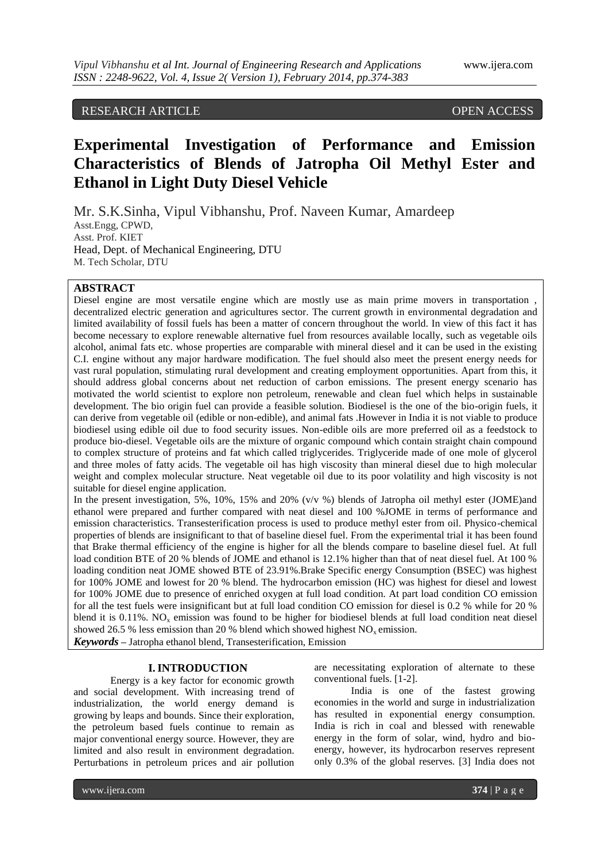# RESEARCH ARTICLE OPEN ACCESS

# **Experimental Investigation of Performance and Emission Characteristics of Blends of Jatropha Oil Methyl Ester and Ethanol in Light Duty Diesel Vehicle**

Mr. S.K.Sinha, Vipul Vibhanshu, Prof. Naveen Kumar, Amardeep Asst.Engg, CPWD, Asst. Prof. KIET Head, Dept. of Mechanical Engineering, DTU M. Tech Scholar, DTU

# **ABSTRACT**

Diesel engine are most versatile engine which are mostly use as main prime movers in transportation decentralized electric generation and agricultures sector. The current growth in environmental degradation and limited availability of fossil fuels has been a matter of concern throughout the world. In view of this fact it has become necessary to explore renewable alternative fuel from resources available locally, such as vegetable oils alcohol, animal fats etc. whose properties are comparable with mineral diesel and it can be used in the existing C.I. engine without any major hardware modification. The fuel should also meet the present energy needs for vast rural population, stimulating rural development and creating employment opportunities. Apart from this, it should address global concerns about net reduction of carbon emissions. The present energy scenario has motivated the world scientist to explore non petroleum, renewable and clean fuel which helps in sustainable development. The bio origin fuel can provide a feasible solution. Biodiesel is the one of the bio-origin fuels, it can derive from vegetable oil (edible or non-edible), and animal fats .However in India it is not viable to produce biodiesel using edible oil due to food security issues. Non-edible oils are more preferred oil as a feedstock to produce bio-diesel. Vegetable oils are the mixture of organic compound which contain straight chain compound to complex structure of proteins and fat which called triglycerides. Triglyceride made of one mole of glycerol and three moles of fatty acids. The vegetable oil has high viscosity than mineral diesel due to high molecular weight and complex molecular structure. Neat vegetable oil due to its poor volatility and high viscosity is not suitable for diesel engine application.

In the present investigation, 5%, 10%, 15% and 20% (v/v %) blends of Jatropha oil methyl ester (JOME)and ethanol were prepared and further compared with neat diesel and 100 %JOME in terms of performance and emission characteristics. Transesterification process is used to produce methyl ester from oil. Physico-chemical properties of blends are insignificant to that of baseline diesel fuel. From the experimental trial it has been found that Brake thermal efficiency of the engine is higher for all the blends compare to baseline diesel fuel. At full load condition BTE of 20 % blends of JOME and ethanol is 12.1% higher than that of neat diesel fuel. At 100 % loading condition neat JOME showed BTE of 23.91%.Brake Specific energy Consumption (BSEC) was highest for 100% JOME and lowest for 20 % blend. The hydrocarbon emission (HC) was highest for diesel and lowest for 100% JOME due to presence of enriched oxygen at full load condition. At part load condition CO emission for all the test fuels were insignificant but at full load condition CO emission for diesel is 0.2 % while for 20 % blend it is  $0.11\%$ . NO<sub>x</sub> emission was found to be higher for biodiesel blends at full load condition neat diesel showed 26.5 % less emission than 20 % blend which showed highest  $NO<sub>x</sub>$  emission.

*Keywords* **–** Jatropha ethanol blend, Transesterification, Emission

## **I.INTRODUCTION**

Energy is a key factor for economic growth and social development. With increasing trend of industrialization, the world energy demand is growing by leaps and bounds. Since their exploration, the petroleum based fuels continue to remain as major conventional energy source. However, they are limited and also result in environment degradation. Perturbations in petroleum prices and air pollution

are necessitating exploration of alternate to these conventional fuels. [1-2].

India is one of the fastest growing economies in the world and surge in industrialization has resulted in exponential energy consumption. India is rich in coal and blessed with renewable energy in the form of solar, wind, hydro and bioenergy, however, its hydrocarbon reserves represent only 0.3% of the global reserves. [3] India does not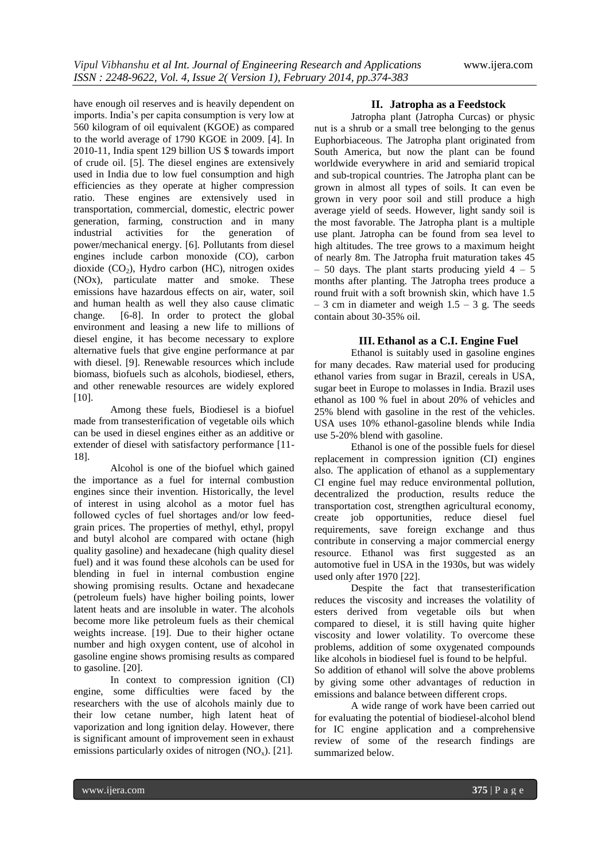have enough oil reserves and is heavily dependent on imports. India's per capita consumption is very low at 560 kilogram of oil equivalent (KGOE) as compared to the world average of 1790 KGOE in 2009. [4]. In 2010-11, India spent 129 billion US \$ towards import of crude oil. [5]. The diesel engines are extensively used in India due to low fuel consumption and high efficiencies as they operate at higher compression ratio. These engines are extensively used in transportation, commercial, domestic, electric power generation, farming, construction and in many<br>industrial activities for the generation of industrial activities for the generation of power/mechanical energy. [6]. Pollutants from diesel engines include carbon monoxide (CO), carbon dioxide  $(CO<sub>2</sub>)$ , Hydro carbon (HC), nitrogen oxides (NOx), particulate matter and smoke. These emissions have hazardous effects on air, water, soil and human health as well they also cause climatic change. [6-8]. In order to protect the global environment and leasing a new life to millions of diesel engine, it has become necessary to explore alternative fuels that give engine performance at par with diesel. [9]. Renewable resources which include biomass, biofuels such as alcohols, biodiesel, ethers, and other renewable resources are widely explored [10].

Among these fuels, Biodiesel is a biofuel made from transesterification of vegetable oils which can be used in diesel engines either as an additive or extender of diesel with satisfactory performance [11- 18].

Alcohol is one of the biofuel which gained the importance as a fuel for internal combustion engines since their invention. Historically, the level of interest in using alcohol as a motor fuel has followed cycles of fuel shortages and/or low feedgrain prices. The properties of methyl, ethyl, propyl and butyl alcohol are compared with octane (high quality gasoline) and hexadecane (high quality diesel fuel) and it was found these alcohols can be used for blending in fuel in internal combustion engine showing promising results. Octane and hexadecane (petroleum fuels) have higher boiling points, lower latent heats and are insoluble in water. The alcohols become more like petroleum fuels as their chemical weights increase. [19]. Due to their higher octane number and high oxygen content, use of alcohol in gasoline engine shows promising results as compared to gasoline. [20].

In context to compression ignition (CI) engine, some difficulties were faced by the researchers with the use of alcohols mainly due to their low cetane number, high latent heat of vaporization and long ignition delay. However, there is significant amount of improvement seen in exhaust emissions particularly oxides of nitrogen  $(NO<sub>x</sub>)$ . [21].

# **II. Jatropha as a Feedstock**

Jatropha plant (Jatropha Curcas) or physic nut is a shrub or a small tree belonging to the genus Euphorbiaceous. The Jatropha plant originated from South America, but now the plant can be found worldwide everywhere in arid and semiarid tropical and sub-tropical countries. The Jatropha plant can be grown in almost all types of soils. It can even be grown in very poor soil and still produce a high average yield of seeds. However, light sandy soil is the most favorable. The Jatropha plant is a multiple use plant. Jatropha can be found from sea level to high altitudes. The tree grows to a maximum height of nearly 8m. The Jatropha fruit maturation takes 45  $-50$  days. The plant starts producing yield  $4 - 5$ months after planting. The Jatropha trees produce a round fruit with a soft brownish skin, which have 1.5  $-3$  cm in diameter and weigh  $1.5 - 3$  g. The seeds contain about 30-35% oil.

# **III. Ethanol as a C.I. Engine Fuel**

Ethanol is suitably used in gasoline engines for many decades. Raw material used for producing ethanol varies from sugar in Brazil, cereals in USA, sugar beet in Europe to molasses in India. Brazil uses ethanol as 100 % fuel in about 20% of vehicles and 25% blend with gasoline in the rest of the vehicles. USA uses 10% ethanol-gasoline blends while India use 5-20% blend with gasoline.

Ethanol is one of the possible fuels for diesel replacement in compression ignition (CI) engines also. The application of ethanol as a supplementary CI engine fuel may reduce environmental pollution, decentralized the production, results reduce the transportation cost, strengthen agricultural economy, create job opportunities, reduce diesel fuel requirements, save foreign exchange and thus contribute in conserving a major commercial energy resource. Ethanol was first suggested as an automotive fuel in USA in the 1930s, but was widely used only after 1970 [22].

Despite the fact that transesterification reduces the viscosity and increases the volatility of esters derived from vegetable oils but when compared to diesel, it is still having quite higher viscosity and lower volatility. To overcome these problems, addition of some oxygenated compounds like alcohols in biodiesel fuel is found to be helpful. So addition of ethanol will solve the above problems

by giving some other advantages of reduction in emissions and balance between different crops.

A wide range of work have been carried out for evaluating the potential of biodiesel-alcohol blend for IC engine application and a comprehensive review of some of the research findings are summarized below.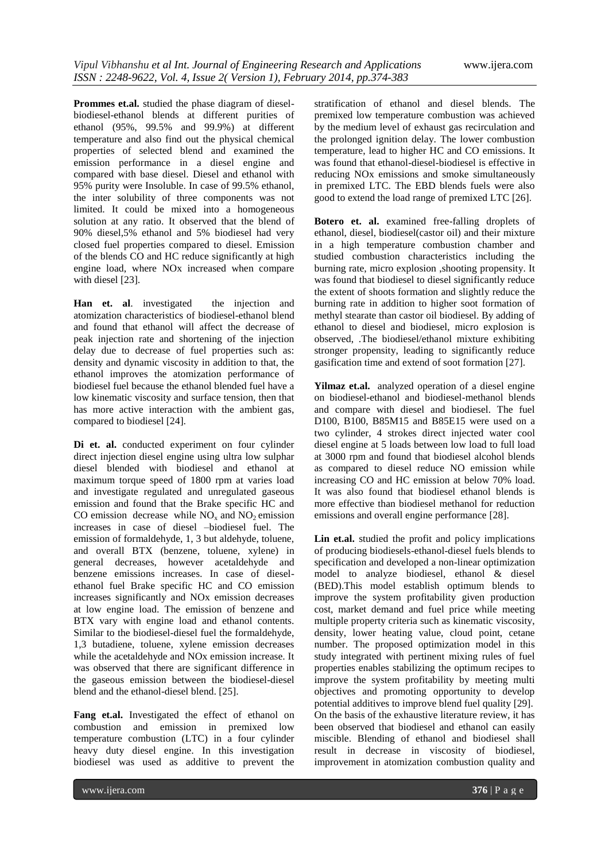**Prommes et.al.** studied the phase diagram of dieselbiodiesel-ethanol blends at different purities of ethanol (95%, 99.5% and 99.9%) at different temperature and also find out the physical chemical properties of selected blend and examined the emission performance in a diesel engine and compared with base diesel. Diesel and ethanol with 95% purity were Insoluble. In case of 99.5% ethanol, the inter solubility of three components was not limited. It could be mixed into a homogeneous solution at any ratio. It observed that the blend of 90% diesel,5% ethanol and 5% biodiesel had very closed fuel properties compared to diesel. Emission of the blends CO and HC reduce significantly at high engine load, where NOx increased when compare with diesel [23].

**Han et. al**. investigated the injection and atomization characteristics of biodiesel-ethanol blend and found that ethanol will affect the decrease of peak injection rate and shortening of the injection delay due to decrease of fuel properties such as: density and dynamic viscosity in addition to that, the ethanol improves the atomization performance of biodiesel fuel because the ethanol blended fuel have a low kinematic viscosity and surface tension, then that has more active interaction with the ambient gas, compared to biodiesel [24].

Di et. al. conducted experiment on four cylinder direct injection diesel engine using ultra low sulphar diesel blended with biodiesel and ethanol at maximum torque speed of 1800 rpm at varies load and investigate regulated and unregulated gaseous emission and found that the Brake specific HC and CO emission decrease while  $NO<sub>x</sub>$  and  $NO<sub>2</sub>$  emission increases in case of diesel –biodiesel fuel. The emission of formaldehyde, 1, 3 but aldehyde, toluene, and overall BTX (benzene, toluene, xylene) in general decreases, however acetaldehyde and benzene emissions increases. In case of dieselethanol fuel Brake specific HC and CO emission increases significantly and NOx emission decreases at low engine load. The emission of benzene and BTX vary with engine load and ethanol contents. Similar to the biodiesel-diesel fuel the formaldehyde, 1,3 butadiene, toluene, xylene emission decreases while the acetaldehyde and NOx emission increase. It was observed that there are significant difference in the gaseous emission between the biodiesel-diesel blend and the ethanol-diesel blend. [25].

**Fang et.al.** Investigated the effect of ethanol on combustion and emission in premixed low temperature combustion (LTC) in a four cylinder heavy duty diesel engine. In this investigation biodiesel was used as additive to prevent the

stratification of ethanol and diesel blends. The premixed low temperature combustion was achieved by the medium level of exhaust gas recirculation and the prolonged ignition delay. The lower combustion temperature, lead to higher HC and CO emissions. It was found that ethanol-diesel-biodiesel is effective in reducing NOx emissions and smoke simultaneously in premixed LTC. The EBD blends fuels were also good to extend the load range of premixed LTC [26].

**Botero et. al.** examined free-falling droplets of ethanol, diesel, biodiesel(castor oil) and their mixture in a high temperature combustion chamber and studied combustion characteristics including the burning rate, micro explosion ,shooting propensity. It was found that biodiesel to diesel significantly reduce the extent of shoots formation and slightly reduce the burning rate in addition to higher soot formation of methyl stearate than castor oil biodiesel. By adding of ethanol to diesel and biodiesel, micro explosion is observed, .The biodiesel/ethanol mixture exhibiting stronger propensity, leading to significantly reduce gasification time and extend of soot formation [27].

**Yilmaz et.al.** analyzed operation of a diesel engine on biodiesel-ethanol and biodiesel-methanol blends and compare with diesel and biodiesel. The fuel D100, B100, B85M15 and B85E15 were used on a two cylinder, 4 strokes direct injected water cool diesel engine at 5 loads between low load to full load at 3000 rpm and found that biodiesel alcohol blends as compared to diesel reduce NO emission while increasing CO and HC emission at below 70% load. It was also found that biodiesel ethanol blends is more effective than biodiesel methanol for reduction emissions and overall engine performance [28].

**Lin et.al.** studied the profit and policy implications of producing biodiesels-ethanol-diesel fuels blends to specification and developed a non-linear optimization model to analyze biodiesel, ethanol & diesel (BED).This model establish optimum blends to improve the system profitability given production cost, market demand and fuel price while meeting multiple property criteria such as kinematic viscosity, density, lower heating value, cloud point, cetane number. The proposed optimization model in this study integrated with pertinent mixing rules of fuel properties enables stabilizing the optimum recipes to improve the system profitability by meeting multi objectives and promoting opportunity to develop potential additives to improve blend fuel quality [29]. On the basis of the exhaustive literature review, it has been observed that biodiesel and ethanol can easily miscible. Blending of ethanol and biodiesel shall result in decrease in viscosity of biodiesel, improvement in atomization combustion quality and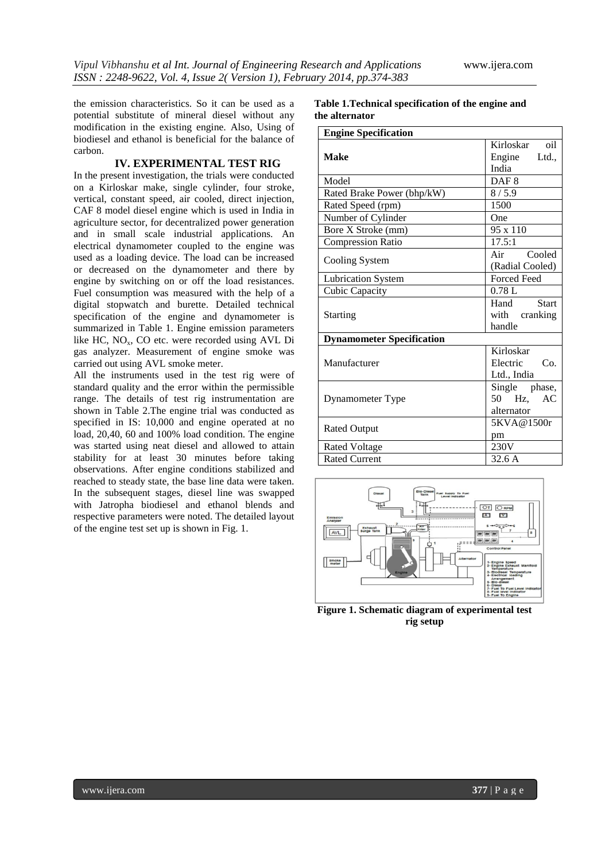the emission characteristics. So it can be used as a potential substitute of mineral diesel without any modification in the existing engine. Also, Using of biodiesel and ethanol is beneficial for the balance of carbon.

### **IV. EXPERIMENTAL TEST RIG**

In the present investigation, the trials were conducted on a Kirloskar make, single cylinder, four stroke, vertical, constant speed, air cooled, direct injection, CAF 8 model diesel engine which is used in India in agriculture sector, for decentralized power generation and in small scale industrial applications. An electrical dynamometer coupled to the engine was used as a loading device. The load can be increased or decreased on the dynamometer and there by engine by switching on or off the load resistances. Fuel consumption was measured with the help of a digital stopwatch and burette. Detailed technical specification of the engine and dynamometer is summarized in Table 1. Engine emission parameters like HC, NO<sub>x</sub>, CO etc. were recorded using AVL Di gas analyzer. Measurement of engine smoke was carried out using AVL smoke meter.

All the instruments used in the test rig were of standard quality and the error within the permissible range. The details of test rig instrumentation are shown in Table 2.The engine trial was conducted as specified in IS: 10,000 and engine operated at no load, 20,40, 60 and 100% load condition. The engine was started using neat diesel and allowed to attain stability for at least 30 minutes before taking observations. After engine conditions stabilized and reached to steady state, the base line data were taken. In the subsequent stages, diesel line was swapped with Jatropha biodiesel and ethanol blends and respective parameters were noted. The detailed layout of the engine test set up is shown in Fig. 1.

**Table 1.Technical specification of the engine and the alternator**

| <b>Engine Specification</b>           |                      |  |  |
|---------------------------------------|----------------------|--|--|
|                                       | Kirloskar oil        |  |  |
| <b>Make</b>                           | Engine<br>Ltd.,      |  |  |
|                                       | India                |  |  |
| Model                                 | DAF <sub>8</sub>     |  |  |
| Rated Brake Power (bhp/kW)<br>8/5.9   |                      |  |  |
| 1500<br>Rated Speed (rpm)             |                      |  |  |
| Number of Cylinder<br>One             |                      |  |  |
| Bore X Stroke (mm)<br>$95 \times 110$ |                      |  |  |
| 17.5:1<br><b>Compression Ratio</b>    |                      |  |  |
|                                       | Cooled<br>Air        |  |  |
| Cooling System                        | (Radial Cooled)      |  |  |
| <b>Lubrication System</b>             | <b>Forced Feed</b>   |  |  |
| Cubic Capacity                        | 0.78L                |  |  |
|                                       | <b>Start</b><br>Hand |  |  |
| <b>Starting</b>                       | with cranking        |  |  |
|                                       | handle               |  |  |
| <b>Dynamometer Specification</b>      |                      |  |  |
|                                       | Kirloskar            |  |  |
| Manufacturer                          | Electric<br>Co.      |  |  |
|                                       | Ltd., India          |  |  |
|                                       | Single phase,        |  |  |
| Dynamometer Type                      | 50 Hz,<br>AC         |  |  |
|                                       | alternator           |  |  |
| <b>Rated Output</b>                   | 5KVA@1500r           |  |  |
|                                       | pm                   |  |  |
| <b>Rated Voltage</b>                  | 230V                 |  |  |
| <b>Rated Current</b>                  | 32.6A                |  |  |



**Figure 1. Schematic diagram of experimental test rig setup**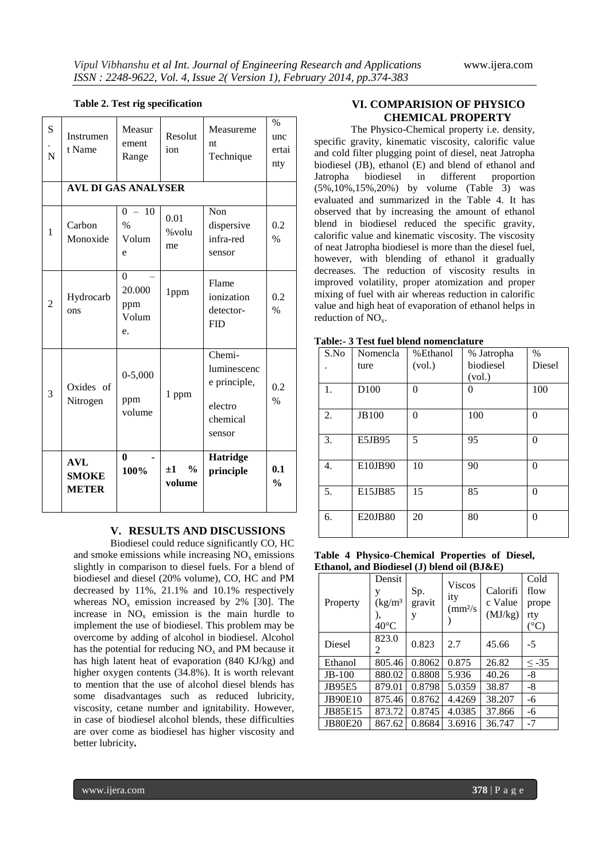### **Table 2. Test rig specification**

| S<br>N | Instrumen<br>t Name                        | Measur<br>ement<br>Range                 | Resolut<br>ion                     | Measureme<br>nt<br>Technique                                           | $\%$<br>unc<br>ertai<br>nty |
|--------|--------------------------------------------|------------------------------------------|------------------------------------|------------------------------------------------------------------------|-----------------------------|
|        | <b>AVL DI GAS ANALYSER</b>                 |                                          |                                    |                                                                        |                             |
| 1      | Carbon<br>Monoxide                         | 10<br>$0 -$<br>$\%$<br>Volum<br>e        | 0.01<br>%volu<br>me                | Non<br>dispersive<br>infra-red<br>sensor                               | 0.2<br>$\%$                 |
| 2      | Hydrocarb<br>ons                           | $\Omega$<br>20.000<br>ppm<br>Volum<br>e. | 1ppm                               | Flame<br>ionization<br>detector-<br><b>FID</b>                         | 0.2<br>$\%$                 |
| 3      | Oxides of<br>Nitrogen                      | $0 - 5,000$<br>ppm<br>volume             | 1 ppm                              | Chemi-<br>luminescenc<br>e principle,<br>electro<br>chemical<br>sensor | 0.2<br>$\%$                 |
|        | <b>AVL</b><br><b>SMOKE</b><br><b>METER</b> | $\mathbf{0}$<br>100%                     | $\frac{0}{0}$<br>$\pm 1$<br>volume | <b>Hatridge</b><br>principle                                           | 0.1<br>$\frac{0}{0}$        |

# **V. RESULTS AND DISCUSSIONS**

Biodiesel could reduce significantly CO, HC and smoke emissions while increasing  $NO<sub>x</sub>$  emissions slightly in comparison to diesel fuels. For a blend of biodiesel and diesel (20% volume), CO, HC and PM decreased by 11%, 21.1% and 10.1% respectively whereas  $NO_x$  emission increased by 2% [30]. The increase in  $NO<sub>x</sub>$  emission is the main hurdle to implement the use of biodiesel. This problem may be overcome by adding of alcohol in biodiesel. Alcohol has the potential for reducing  $NO<sub>x</sub>$  and PM because it has high latent heat of evaporation (840 KJ/kg) and higher oxygen contents (34.8%). It is worth relevant to mention that the use of alcohol diesel blends has some disadvantages such as reduced lubricity, viscosity, cetane number and ignitability. However, in case of biodiesel alcohol blends, these difficulties are over come as biodiesel has higher viscosity and better lubricity**.**

# **VI. COMPARISION OF PHYSICO CHEMICAL PROPERTY**

The Physico-Chemical property i.e. density, specific gravity, kinematic viscosity, calorific value and cold filter plugging point of diesel, neat Jatropha biodiesel (JB), ethanol (E) and blend of ethanol and Jatropha biodiesel in different proportion (5%,10%,15%,20%) by volume (Table 3) was evaluated and summarized in the Table 4. It has observed that by increasing the amount of ethanol blend in biodiesel reduced the specific gravity, calorific value and kinematic viscosity. The viscosity of neat Jatropha biodiesel is more than the diesel fuel, however, with blending of ethanol it gradually decreases. The reduction of viscosity results in improved volatility, proper atomization and proper mixing of fuel with air whereas reduction in calorific value and high heat of evaporation of ethanol helps in reduction of  $NO<sub>x</sub>$ .

| Nomencla     | %Ethanol | % Jatropha | $\%$           |
|--------------|----------|------------|----------------|
| ture         | (vol.)   | biodiesel  | Diesel         |
|              |          | (vol.)     |                |
| D100         | $\Omega$ | 0          | 100            |
|              |          |            |                |
| <b>JB100</b> | 0        | 100        | $\theta$       |
|              |          |            |                |
| E5JB95       | 5        | 95         | $\overline{0}$ |
|              |          |            |                |
| E10JB90      | 10       | 90         | $\Omega$       |
|              |          |            |                |
| E15JB85      | 15       | 85         | $\Omega$       |
|              |          |            |                |
| E20JB80      | 20       | 80         | $\theta$       |
|              |          |            |                |
|              |          |            |                |

**Table:- 3 Test fuel blend nomenclature**

**Table 4 Physico-Chemical Properties of Diesel, Ethanol, and Biodiesel (J) blend oil (BJ&E)**

| Property       | Densit<br>V<br>(kg/m <sup>3</sup> )<br>$40^{\circ}$ C | Sp.<br>gravit<br>y | <b>Viscos</b><br>ity<br>$\text{m}^2\text{s}$ | Calorifi<br>c Value<br>(MJ/kg) | Cold<br>flow<br>prope<br>rty<br>$(^{\circ}C)$ |
|----------------|-------------------------------------------------------|--------------------|----------------------------------------------|--------------------------------|-----------------------------------------------|
| Diesel         | 823.0<br>$\mathfrak{D}$                               | 0.823              | 2.7                                          | 45.66                          | $-5$                                          |
| Ethanol        | 805.46                                                | 0.8062             | 0.875                                        | 26.82                          | $\leq$ -35                                    |
| $JB-100$       | 880.02                                                | 0.8808             | 5.936                                        | 40.26                          | -8                                            |
| <b>JB95E5</b>  | 879.01                                                | 0.8798             | 5.0359                                       | 38.87                          | $-8$                                          |
| <b>JB90E10</b> | 875.46                                                | 0.8762             | 4.4269                                       | 38.207                         | -6                                            |
| JB85E15        | 873.72                                                | 0.8745             | 4.0385                                       | 37.866                         | -6                                            |
| <b>JB80E20</b> | 867.62                                                | 0.8684             | 3.6916                                       | 36.747                         | $-7$                                          |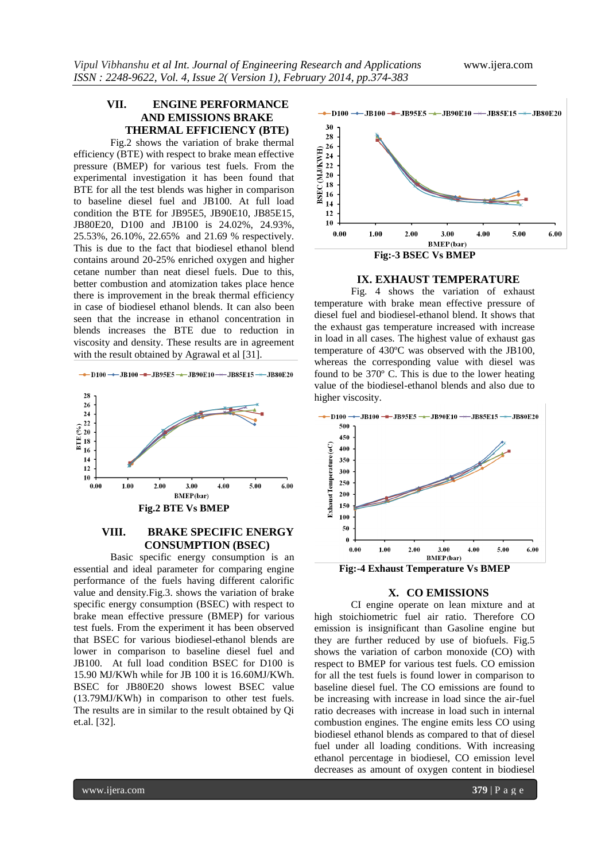# **VII. ENGINE PERFORMANCE AND EMISSIONS BRAKE THERMAL EFFICIENCY (BTE)**

Fig.2 shows the variation of brake thermal efficiency (BTE) with respect to brake mean effective pressure (BMEP) for various test fuels. From the experimental investigation it has been found that BTE for all the test blends was higher in comparison to baseline diesel fuel and JB100. At full load condition the BTE for JB95E5, JB90E10, JB85E15, JB80E20, D100 and JB100 is 24.02%, 24.93%, 25.53%, 26.10%, 22.65% and 21.69 % respectively. This is due to the fact that biodiesel ethanol blend contains around 20-25% enriched oxygen and higher cetane number than neat diesel fuels. Due to this, better combustion and atomization takes place hence there is improvement in the break thermal efficiency in case of biodiesel ethanol blends. It can also been seen that the increase in ethanol concentration in blends increases the BTE due to reduction in viscosity and density. These results are in agreement with the result obtained by Agrawal et al [31].





# **VIII. BRAKE SPECIFIC ENERGY CONSUMPTION (BSEC)**

Basic specific energy consumption is an essential and ideal parameter for comparing engine performance of the fuels having different calorific value and density.Fig.3. shows the variation of brake specific energy consumption (BSEC) with respect to brake mean effective pressure (BMEP) for various test fuels. From the experiment it has been observed that BSEC for various biodiesel-ethanol blends are lower in comparison to baseline diesel fuel and JB100. At full load condition BSEC for D100 is 15.90 MJ/KWh while for JB 100 it is 16.60MJ/KWh. BSEC for JB80E20 shows lowest BSEC value (13.79MJ/KWh) in comparison to other test fuels. The results are in similar to the result obtained by Qi et.al. [32].



#### **IX. EXHAUST TEMPERATURE**

Fig. 4 shows the variation of exhaust temperature with brake mean effective pressure of diesel fuel and biodiesel-ethanol blend. It shows that the exhaust gas temperature increased with increase in load in all cases. The highest value of exhaust gas temperature of 430ºC was observed with the JB100, whereas the corresponding value with diesel was found to be 370º C. This is due to the lower heating value of the biodiesel-ethanol blends and also due to higher viscosity.



## **X. CO EMISSIONS**

CI engine operate on lean mixture and at high stoichiometric fuel air ratio. Therefore CO emission is insignificant than Gasoline engine but they are further reduced by use of biofuels. Fig.5 shows the variation of carbon monoxide (CO) with respect to BMEP for various test fuels. CO emission for all the test fuels is found lower in comparison to baseline diesel fuel. The CO emissions are found to be increasing with increase in load since the air-fuel ratio decreases with increase in load such in internal combustion engines. The engine emits less CO using biodiesel ethanol blends as compared to that of diesel fuel under all loading conditions. With increasing ethanol percentage in biodiesel, CO emission level decreases as amount of oxygen content in biodiesel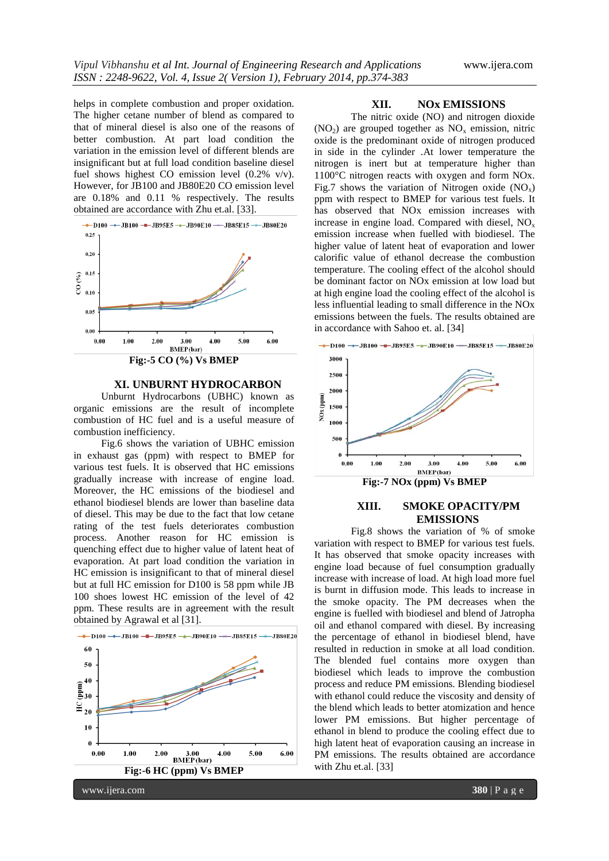helps in complete combustion and proper oxidation. The higher cetane number of blend as compared to that of mineral diesel is also one of the reasons of better combustion. At part load condition the variation in the emission level of different blends are insignificant but at full load condition baseline diesel fuel shows highest CO emission level (0.2% v/v). However, for JB100 and JB80E20 CO emission level are 0.18% and 0.11 % respectively. The results obtained are accordance with Zhu et.al. [33].



#### **XI. UNBURNT HYDROCARBON**

Unburnt Hydrocarbons (UBHC) known as organic emissions are the result of incomplete combustion of HC fuel and is a useful measure of combustion inefficiency.

Fig.6 shows the variation of UBHC emission in exhaust gas (ppm) with respect to BMEP for various test fuels. It is observed that HC emissions gradually increase with increase of engine load. Moreover, the HC emissions of the biodiesel and ethanol biodiesel blends are lower than baseline data of diesel. This may be due to the fact that low cetane rating of the test fuels deteriorates combustion process. Another reason for HC emission is quenching effect due to higher value of latent heat of evaporation. At part load condition the variation in HC emission is insignificant to that of mineral diesel but at full HC emission for D100 is 58 ppm while JB 100 shoes lowest HC emission of the level of 42 ppm. These results are in agreement with the result obtained by Agrawal et al [31].



## **XII. NOx EMISSIONS**

The nitric oxide (NO) and nitrogen dioxide  $(NO<sub>2</sub>)$  are grouped together as  $NO<sub>x</sub>$  emission, nitric oxide is the predominant oxide of nitrogen produced in side in the cylinder .At lower temperature the nitrogen is inert but at temperature higher than 1100°C nitrogen reacts with oxygen and form NOx. Fig.7 shows the variation of Nitrogen oxide  $(NO_x)$ ppm with respect to BMEP for various test fuels. It has observed that NOx emission increases with increase in engine load. Compared with diesel,  $NO<sub>x</sub>$ emission increase when fuelled with biodiesel. The higher value of latent heat of evaporation and lower calorific value of ethanol decrease the combustion temperature. The cooling effect of the alcohol should be dominant factor on NOx emission at low load but at high engine load the cooling effect of the alcohol is less influential leading to small difference in the NOx emissions between the fuels. The results obtained are in accordance with Sahoo et. al. [34]



## **XIII. SMOKE OPACITY/PM EMISSIONS**

Fig.8 shows the variation of % of smoke variation with respect to BMEP for various test fuels. It has observed that smoke opacity increases with engine load because of fuel consumption gradually increase with increase of load. At high load more fuel is burnt in diffusion mode. This leads to increase in the smoke opacity. The PM decreases when the engine is fuelled with biodiesel and blend of Jatropha oil and ethanol compared with diesel. By increasing the percentage of ethanol in biodiesel blend, have resulted in reduction in smoke at all load condition. The blended fuel contains more oxygen than biodiesel which leads to improve the combustion process and reduce PM emissions. Blending biodiesel with ethanol could reduce the viscosity and density of the blend which leads to better atomization and hence lower PM emissions. But higher percentage of ethanol in blend to produce the cooling effect due to high latent heat of evaporation causing an increase in PM emissions. The results obtained are accordance with Zhu et.al. [33]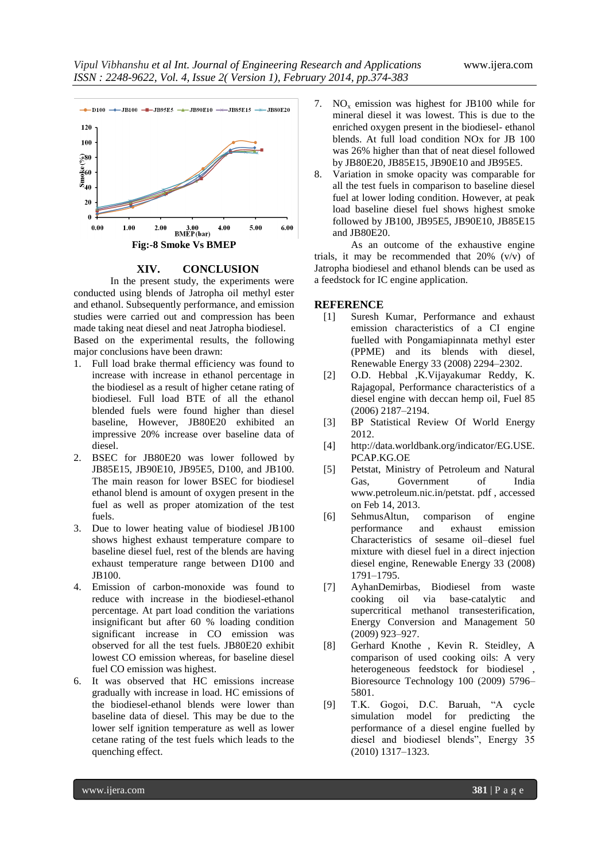

#### **XIV. CONCLUSION**

In the present study, the experiments were conducted using blends of Jatropha oil methyl ester and ethanol. Subsequently performance, and emission studies were carried out and compression has been made taking neat diesel and neat Jatropha biodiesel.

Based on the experimental results, the following major conclusions have been drawn:

- 1. Full load brake thermal efficiency was found to increase with increase in ethanol percentage in the biodiesel as a result of higher cetane rating of biodiesel. Full load BTE of all the ethanol blended fuels were found higher than diesel baseline, However, JB80E20 exhibited an impressive 20% increase over baseline data of diesel.
- 2. BSEC for JB80E20 was lower followed by JB85E15, JB90E10, JB95E5, D100, and JB100. The main reason for lower BSEC for biodiesel ethanol blend is amount of oxygen present in the fuel as well as proper atomization of the test fuels.
- 3. Due to lower heating value of biodiesel JB100 shows highest exhaust temperature compare to baseline diesel fuel, rest of the blends are having exhaust temperature range between D100 and JB100.
- 4. Emission of carbon-monoxide was found to reduce with increase in the biodiesel-ethanol percentage. At part load condition the variations insignificant but after 60 % loading condition significant increase in CO emission was observed for all the test fuels. JB80E20 exhibit lowest CO emission whereas, for baseline diesel fuel CO emission was highest.
- 6. It was observed that HC emissions increase gradually with increase in load. HC emissions of the biodiesel-ethanol blends were lower than baseline data of diesel. This may be due to the lower self ignition temperature as well as lower cetane rating of the test fuels which leads to the quenching effect.
- 7. NO<sub>x</sub> emission was highest for JB100 while for mineral diesel it was lowest. This is due to the enriched oxygen present in the biodiesel- ethanol blends. At full load condition NOx for JB 100 was 26% higher than that of neat diesel followed by JB80E20, JB85E15, JB90E10 and JB95E5.
- 8. Variation in smoke opacity was comparable for all the test fuels in comparison to baseline diesel fuel at lower loding condition. However, at peak load baseline diesel fuel shows highest smoke followed by JB100, JB95E5, JB90E10, JB85E15 and JB80E20.

As an outcome of the exhaustive engine trials, it may be recommended that 20% (v/v) of Jatropha biodiesel and ethanol blends can be used as a feedstock for IC engine application.

#### **REFERENCE**

- [1] Suresh Kumar, Performance and exhaust emission characteristics of a CI engine fuelled with Pongamiapinnata methyl ester (PPME) and its blends with diesel, Renewable Energy 33 (2008) 2294–2302.
- [2] O.D. Hebbal ,K.Vijayakumar Reddy, K. Rajagopal, Performance characteristics of a diesel engine with deccan hemp oil, Fuel 85 (2006) 2187–2194.
- [3] BP Statistical Review Of World Energy 2012.
- [4] http://data.worldbank.org/indicator/EG.USE. PCAP.KG.OE
- [5] Petstat, Ministry of Petroleum and Natural Gas, Government of India www.petroleum.nic.in/petstat. pdf , accessed on Feb 14, 2013.
- [6] SehmusAltun, comparison of engine performance and exhaust emission Characteristics of sesame oil–diesel fuel mixture with diesel fuel in a direct injection diesel engine, Renewable Energy 33 (2008) 1791–1795.
- [7] AyhanDemirbas, Biodiesel from waste cooking oil via base-catalytic and supercritical methanol transesterification, Energy Conversion and Management 50 (2009) 923–927.
- [8] Gerhard Knothe , Kevin R. Steidley, A comparison of used cooking oils: A very heterogeneous feedstock for biodiesel , Bioresource Technology 100 (2009) 5796– 5801.
- [9] T.K. Gogoi, D.C. Baruah, "A cycle simulation model for predicting the performance of a diesel engine fuelled by diesel and biodiesel blends", Energy 35 (2010) 1317–1323.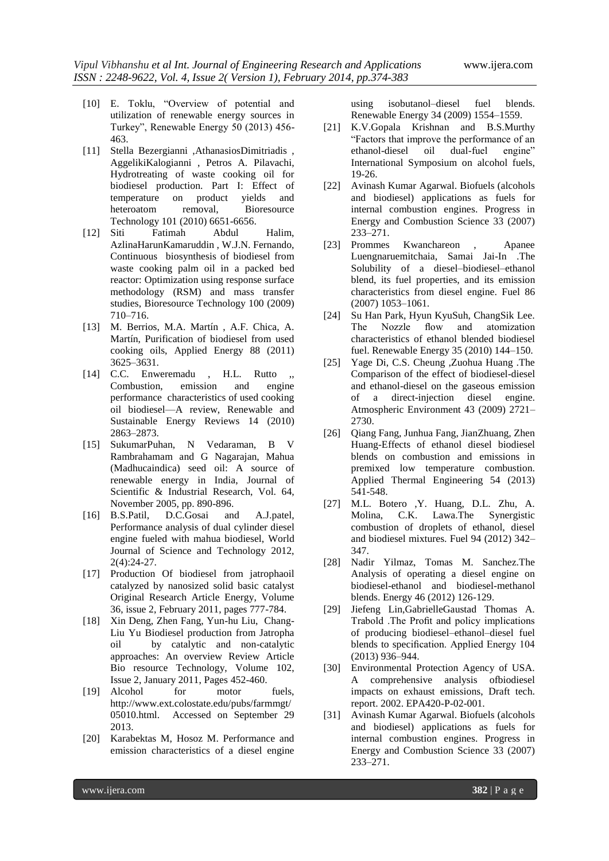- [10] E. Toklu, "Overview of potential and utilization of renewable energy sources in Turkey", Renewable Energy 50 (2013) 456-463.
- [11] Stella Bezergianni ,AthanasiosDimitriadis , AggelikiKalogianni , Petros A. Pilavachi, Hydrotreating of waste cooking oil for biodiesel production. Part I: Effect of temperature on product yields and heteroatom removal, Bioresource Technology 101 (2010) 6651-6656.
- [12] Siti Fatimah Abdul Halim, AzlinaHarunKamaruddin , W.J.N. Fernando, Continuous biosynthesis of biodiesel from waste cooking palm oil in a packed bed reactor: Optimization using response surface methodology (RSM) and mass transfer studies, Bioresource Technology 100 (2009) 710–716.
- [13] M. Berrios, M.A. Martín , A.F. Chica, A. Martín, Purification of biodiesel from used cooking oils, Applied Energy 88 (2011) 3625–3631.
- [14] C.C. Enweremadu, H.L. Rutto Combustion, emission and engine performance characteristics of used cooking oil biodiesel—A review, Renewable and Sustainable Energy Reviews 14 (2010) 2863–2873.
- [15] SukumarPuhan, N Vedaraman, B V Rambrahamam and G Nagarajan, Mahua (Madhucaindica) seed oil: A source of renewable energy in India, Journal of Scientific & Industrial Research, Vol. 64, November 2005, pp. 890-896.
- [16] B.S.Patil, D.C.Gosai and A.J.patel, Performance analysis of dual cylinder diesel engine fueled with mahua biodiesel, World Journal of Science and Technology 2012, 2(4):24-27.
- [17] Production Of biodiesel from jatrophaoil catalyzed by nanosized solid basic catalyst Original Research Article Energy, Volume 36, issue 2, February 2011, pages 777-784.
- [18] Xin Deng, Zhen Fang, Yun-hu Liu, Chang-Liu Yu Biodiesel production from Jatropha oil by catalytic and non-catalytic approaches: An overview Review Article Bio resource Technology, Volume 102, Issue 2, January 2011, Pages 452-460.
- [19] Alcohol for motor fuels, http://www.ext.colostate.edu/pubs/farmmgt/ 05010.html. Accessed on September 29 2013.
- [20] Karabektas M, Hosoz M. Performance and emission characteristics of a diesel engine

using isobutanol–diesel fuel blends. Renewable Energy 34 (2009) 1554–1559.

- [21] K.V.Gopala Krishnan and B.S.Murthy ―Factors that improve the performance of an ethanol-diesel oil dual-fuel engine" International Symposium on alcohol fuels, 19-26.
- [22] Avinash Kumar Agarwal. Biofuels (alcohols and biodiesel) applications as fuels for internal combustion engines. Progress in Energy and Combustion Science 33 (2007) 233–271.
- [23] Prommes Kwanchareon , Apanee Luengnaruemitchaia, Samai Jai-In .The Solubility of a diesel–biodiesel–ethanol blend, its fuel properties, and its emission characteristics from diesel engine. Fuel 86 (2007) 1053–1061.
- [24] Su Han Park, Hyun KyuSuh, ChangSik Lee. The Nozzle flow and atomization characteristics of ethanol blended biodiesel fuel. Renewable Energy 35 (2010) 144–150.
- [25] Yage Di, C.S. Cheung ,Zuohua Huang .The Comparison of the effect of biodiesel-diesel and ethanol-diesel on the gaseous emission of a direct-injection diesel engine. Atmospheric Environment 43 (2009) 2721– 2730.
- [26] Qiang Fang, Junhua Fang, JianZhuang, Zhen Huang-Effects of ethanol diesel biodiesel blends on combustion and emissions in premixed low temperature combustion. Applied Thermal Engineering 54 (2013) 541-548.
- [27] M.L. Botero ,Y. Huang, D.L. Zhu, A. Molina, C.K. Lawa.The Synergistic combustion of droplets of ethanol, diesel and biodiesel mixtures. Fuel 94 (2012) 342– 347.
- [28] Nadir Yilmaz, Tomas M. Sanchez.The Analysis of operating a diesel engine on biodiesel-ethanol and biodiesel-methanol blends. Energy 46 (2012) 126-129.
- [29] Jiefeng Lin,GabrielleGaustad Thomas A. Trabold .The Profit and policy implications of producing biodiesel–ethanol–diesel fuel blends to specification. Applied Energy 104 (2013) 936–944.
- [30] Environmental Protection Agency of USA. A comprehensive analysis ofbiodiesel impacts on exhaust emissions, Draft tech. report. 2002. EPA420-P-02-001.
- [31] Avinash Kumar Agarwal. Biofuels (alcohols and biodiesel) applications as fuels for internal combustion engines. Progress in Energy and Combustion Science 33 (2007) 233–271.